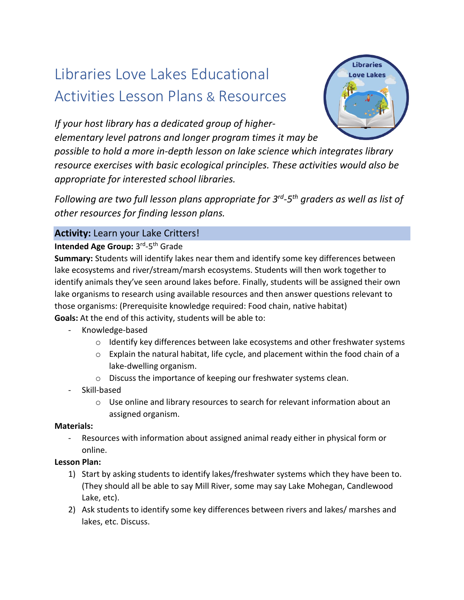# Libraries Love Lakes Educational Activities Lesson Plans & Resources



*If your host library has a dedicated group of higherelementary level patrons and longer program times it may be* 

*possible to hold a more in-depth lesson on lake science which integrates library resource exercises with basic ecological principles. These activities would also be appropriate for interested school libraries.* 

*Following are two full lesson plans appropriate for 3 rd -5 th graders as well as list of other resources for finding lesson plans.* 

## **Activity:** Learn your Lake Critters!

## Intended Age Group: 3<sup>rd</sup>-5<sup>th</sup> Grade

**Summary:** Students will identify lakes near them and identify some key differences between lake ecosystems and river/stream/marsh ecosystems. Students will then work together to identify animals they've seen around lakes before. Finally, students will be assigned their own lake organisms to research using available resources and then answer questions relevant to those organisms: (Prerequisite knowledge required: Food chain, native habitat) **Goals:** At the end of this activity, students will be able to:

- Knowledge-based
	- $\circ$  Identify key differences between lake ecosystems and other freshwater systems
	- o Explain the natural habitat, life cycle, and placement within the food chain of a lake-dwelling organism.
	- o Discuss the importance of keeping our freshwater systems clean.
- Skill-based
	- o Use online and library resources to search for relevant information about an assigned organism.

#### **Materials:**

- Resources with information about assigned animal ready either in physical form or online.

#### **Lesson Plan:**

- 1) Start by asking students to identify lakes/freshwater systems which they have been to. (They should all be able to say Mill River, some may say Lake Mohegan, Candlewood Lake, etc).
- 2) Ask students to identify some key differences between rivers and lakes/ marshes and lakes, etc. Discuss.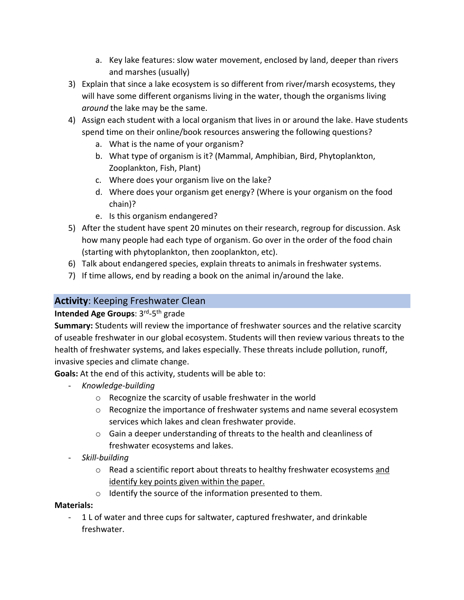- a. Key lake features: slow water movement, enclosed by land, deeper than rivers and marshes (usually)
- 3) Explain that since a lake ecosystem is so different from river/marsh ecosystems, they will have some different organisms living in the water, though the organisms living *around* the lake may be the same.
- 4) Assign each student with a local organism that lives in or around the lake. Have students spend time on their online/book resources answering the following questions?
	- a. What is the name of your organism?
	- b. What type of organism is it? (Mammal, Amphibian, Bird, Phytoplankton, Zooplankton, Fish, Plant)
	- c. Where does your organism live on the lake?
	- d. Where does your organism get energy? (Where is your organism on the food chain)?
	- e. Is this organism endangered?
- 5) After the student have spent 20 minutes on their research, regroup for discussion. Ask how many people had each type of organism. Go over in the order of the food chain (starting with phytoplankton, then zooplankton, etc).
- 6) Talk about endangered species, explain threats to animals in freshwater systems.
- 7) If time allows, end by reading a book on the animal in/around the lake.

# **Activity**: Keeping Freshwater Clean

## **Intended Age Groups**: 3<sup>rd</sup>-5<sup>th</sup> grade

**Summary:** Students will review the importance of freshwater sources and the relative scarcity of useable freshwater in our global ecosystem. Students will then review various threats to the health of freshwater systems, and lakes especially. These threats include pollution, runoff, invasive species and climate change.

**Goals:** At the end of this activity, students will be able to:

- *Knowledge-building*
	- o Recognize the scarcity of usable freshwater in the world
	- $\circ$  Recognize the importance of freshwater systems and name several ecosystem services which lakes and clean freshwater provide.
	- o Gain a deeper understanding of threats to the health and cleanliness of freshwater ecosystems and lakes.
- *Skill-building*
	- $\circ$  Read a scientific report about threats to healthy freshwater ecosystems and identify key points given within the paper.
	- o Identify the source of the information presented to them.

## **Materials:**

- 1 L of water and three cups for saltwater, captured freshwater, and drinkable freshwater.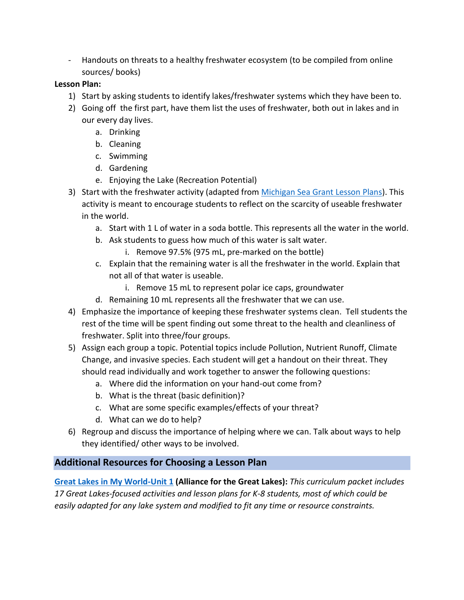- Handouts on threats to a healthy freshwater ecosystem (to be compiled from online sources/ books)

## **Lesson Plan:**

- 1) Start by asking students to identify lakes/freshwater systems which they have been to.
- 2) Going off the first part, have them list the uses of freshwater, both out in lakes and in our every day lives.
	- a. Drinking
	- b. Cleaning
	- c. Swimming
	- d. Gardening
	- e. Enjoying the Lake (Recreation Potential)
- 3) Start with the freshwater activity (adapted from [Michigan Sea Grant Lesson Plans\)](https://www.michiganseagrant.org/lessons/lessons/by-broad-concept/earth-science/water-quantity/324-2/). This activity is meant to encourage students to reflect on the scarcity of useable freshwater in the world.
	- a. Start with 1 L of water in a soda bottle. This represents all the water in the world.
	- b. Ask students to guess how much of this water is salt water.
		- i. Remove 97.5% (975 mL, pre-marked on the bottle)
	- c. Explain that the remaining water is all the freshwater in the world. Explain that not all of that water is useable.
		- i. Remove 15 mL to represent polar ice caps, groundwater
	- d. Remaining 10 mL represents all the freshwater that we can use.
- 4) Emphasize the importance of keeping these freshwater systems clean. Tell students the rest of the time will be spent finding out some threat to the health and cleanliness of freshwater. Split into three/four groups.
- 5) Assign each group a topic. Potential topics include Pollution, Nutrient Runoff, Climate Change, and invasive species. Each student will get a handout on their threat. They should read individually and work together to answer the following questions:
	- a. Where did the information on your hand-out come from?
	- b. What is the threat (basic definition)?
	- c. What are some specific examples/effects of your threat?
	- d. What can we do to help?
- 6) Regroup and discuss the importance of helping where we can. Talk about ways to help they identified/ other ways to be involved.

## **Additional Resources for Choosing a Lesson Plan**

**[Great Lakes in My World-Unit 1](https://greatlakes.org/wp-content/uploads/2019/07/Great-Lakes-in-My-World-K-8.pdf) (Alliance for the Great Lakes):** *This curriculum packet includes 17 Great Lakes-focused activities and lesson plans for K-8 students, most of which could be easily adapted for any lake system and modified to fit any time or resource constraints.*